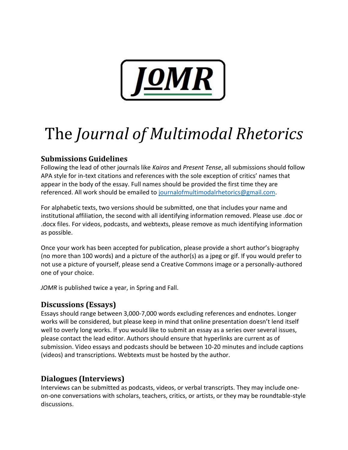

# The *Journal of Multimodal Rhetorics*

# **Submissions Guidelines**

Following the lead of other journals like *Kairos* and *Present Tense*, all submissions should follow APA style for in-text citations and references with the sole exception of critics' names that appear in the body of the essay. Full names should be provided the first time they are referenced. All work should be emailed to [journalofmultimodalrhetorics@gmail.com.](mailto:journalofmultimodalrhetorics@gmail.com)

For alphabetic texts, two versions should be submitted, one that includes your name and institutional affiliation, the second with all identifying information removed. Please use .doc or .docx files. For videos, podcasts, and webtexts, please remove as much identifying information as possible.

Once your work has been accepted for publication, please provide a short author's biography (no more than 100 words) and a picture of the author(s) as a jpeg or gif. If you would prefer to not use a picture of yourself, please send a Creative Commons image or a personally-authored one of your choice.

*JOMR* is published twice a year, in Spring and Fall.

## **Discussions (Essays)**

Essays should range between 3,000-7,000 words excluding references and endnotes. Longer works will be considered, but please keep in mind that online presentation doesn't lend itself well to overly long works. If you would like to submit an essay as a series over several issues, please contact the lead editor. Authors should ensure that hyperlinks are current as of submission. Video essays and podcasts should be between 10-20 minutes and include captions (videos) and transcriptions. Webtexts must be hosted by the author.

# **Dialogues (Interviews)**

Interviews can be submitted as podcasts, videos, or verbal transcripts. They may include oneon-one conversations with scholars, teachers, critics, or artists, or they may be roundtable-style discussions.